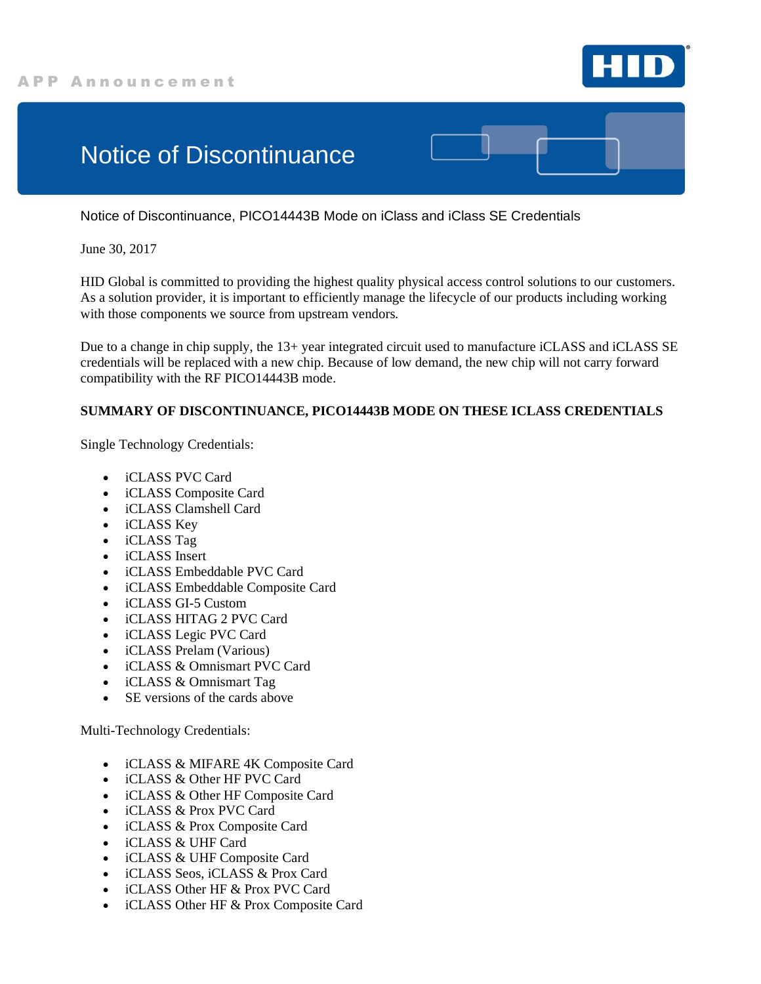

## Notice of Discontinuance

Notice of Discontinuance, PICO14443B Mode on iClass and iClass SE Credentials

June 30, 2017

HID Global is committed to providing the highest quality physical access control solutions to our customers. As a solution provider, it is important to efficiently manage the lifecycle of our products including working with those components we source from upstream vendors.

Due to a change in chip supply, the 13+ year integrated circuit used to manufacture iCLASS and iCLASS SE credentials will be replaced with a new chip. Because of low demand, the new chip will not carry forward compatibility with the RF PICO14443B mode.

## **SUMMARY OF DISCONTINUANCE, PICO14443B MODE ON THESE ICLASS CREDENTIALS**

Single Technology Credentials:

- iCLASS PVC Card
- iCLASS Composite Card
- iCLASS Clamshell Card
- iCLASS Key
- iCLASS Tag
- iCLASS Insert
- iCLASS Embeddable PVC Card
- iCLASS Embeddable Composite Card
- iCLASS GI-5 Custom
- iCLASS HITAG 2 PVC Card
- iCLASS Legic PVC Card
- iCLASS Prelam (Various)
- iCLASS & Omnismart PVC Card
- iCLASS & Omnismart Tag
- SE versions of the cards above

Multi-Technology Credentials:

- iCLASS & MIFARE 4K Composite Card
- iCLASS & Other HF PVC Card
- iCLASS & Other HF Composite Card
- iCLASS & Prox PVC Card
- iCLASS & Prox Composite Card
- iCLASS & UHF Card
- iCLASS & UHF Composite Card
- iCLASS Seos, iCLASS & Prox Card
- iCLASS Other HF & Prox PVC Card
- iCLASS Other HF & Prox Composite Card